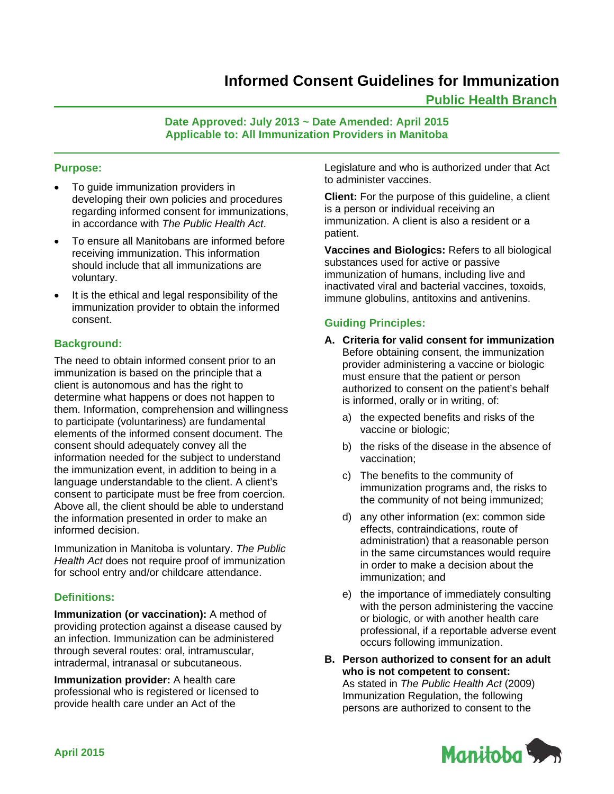# **Informed Consent Guidelines for Immunization**

# **Public Health Branch**

## **Date Approved: July 2013 ~ Date Amended: April 2015 Applicable to: All Immunization Providers in Manitoba**

## **Purpose:**

- To guide immunization providers in developing their own policies and procedures regarding informed consent for immunizations, in accordance with *The Public Health Act*.
- To ensure all Manitobans are informed before receiving immunization. This information should include that all immunizations are voluntary.
- It is the ethical and legal responsibility of the immunization provider to obtain the informed consent.

## **Background:**

The need to obtain informed consent prior to an immunization is based on the principle that a client is autonomous and has the right to determine what happens or does not happen to them. Information, comprehension and willingness to participate (voluntariness) are fundamental elements of the informed consent document. The consent should adequately convey all the information needed for the subject to understand the immunization event, in addition to being in a language understandable to the client. A client's consent to participate must be free from coercion. Above all, the client should be able to understand the information presented in order to make an informed decision.

Immunization in Manitoba is voluntary. *The Public Health Act* does not require proof of immunization for school entry and/or childcare attendance.

#### **Definitions:**

**Immunization (or vaccination):** A method of providing protection against a disease caused by an infection. Immunization can be administered through several routes: oral, intramuscular, intradermal, intranasal or subcutaneous.

**Immunization provider:** A health care professional who is registered or licensed to provide health care under an Act of the

Legislature and who is authorized under that Act to administer vaccines.

**Client:** For the purpose of this guideline, a client is a person or individual receiving an immunization. A client is also a resident or a patient.

**Vaccines and Biologics:** Refers to all biological substances used for active or passive immunization of humans, including live and inactivated viral and bacterial vaccines, toxoids, immune globulins, antitoxins and antivenins.

# **Guiding Principles:**

- **A. Criteria for valid consent for immunization**  Before obtaining consent, the immunization provider administering a vaccine or biologic must ensure that the patient or person authorized to consent on the patient's behalf is informed, orally or in writing, of:
	- a) the expected benefits and risks of the vaccine or biologic;
	- b) the risks of the disease in the absence of vaccination;
	- c) The benefits to the community of immunization programs and, the risks to the community of not being immunized;
	- d) any other information (ex: common side effects, contraindications, route of administration) that a reasonable person in the same circumstances would require in order to make a decision about the immunization; and
	- e) the importance of immediately consulting with the person administering the vaccine or biologic, or with another health care professional, if a reportable adverse event occurs following immunization.
- **B. Person authorized to consent for an adult who is not competent to consent:**  As stated in *The Public Health Act* (2009) Immunization Regulation, the following persons are authorized to consent to the

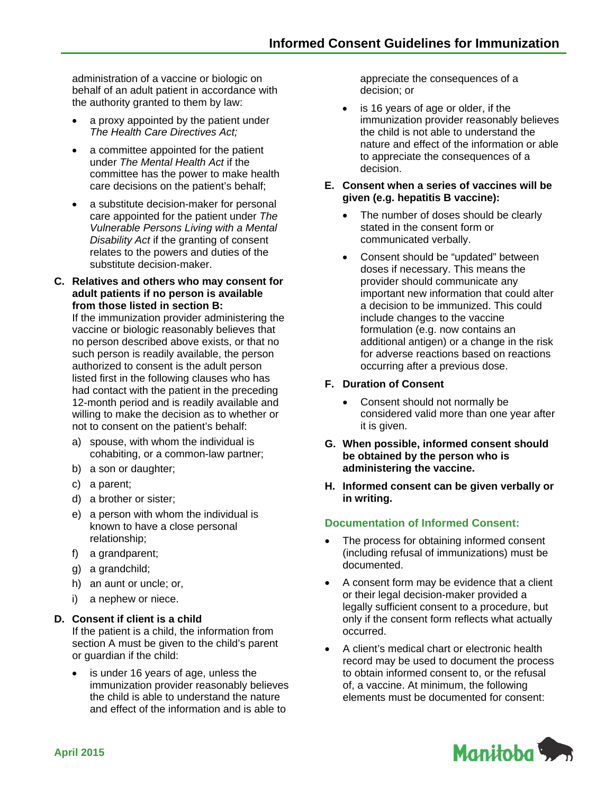administration of a vaccine or biologic on behalf of an adult patient in accordance with the authority granted to them by law:

- a proxy appointed by the patient under *The Health Care Directives Act;*
- a committee appointed for the patient under *The Mental Health Act* if the committee has the power to make health care decisions on the patient's behalf;
- a substitute decision-maker for personal care appointed for the patient under *The Vulnerable Persons Living with a Mental Disability Act* if the granting of consent relates to the powers and duties of the substitute decision-maker.
- **C. Relatives and others who may consent for adult patients if no person is available from those listed in section B:**

If the immunization provider administering the vaccine or biologic reasonably believes that no person described above exists, or that no such person is readily available, the person authorized to consent is the adult person listed first in the following clauses who has had contact with the patient in the preceding 12-month period and is readily available and willing to make the decision as to whether or not to consent on the patient's behalf:

- a) spouse, with whom the individual is cohabiting, or a common-law partner;
- b) a son or daughter;
- c) a parent;
- d) a brother or sister;
- e) a person with whom the individual is known to have a close personal relationship;
- f) a grandparent;
- g) a grandchild;
- h) an aunt or uncle; or,
- i) a nephew or niece.

## **D. Consent if client is a child**

If the patient is a child, the information from section A must be given to the child's parent or guardian if the child:

 is under 16 years of age, unless the immunization provider reasonably believes the child is able to understand the nature and effect of the information and is able to

appreciate the consequences of a decision; or

- is 16 years of age or older, if the immunization provider reasonably believes the child is not able to understand the nature and effect of the information or able to appreciate the consequences of a decision.
- **E. Consent when a series of vaccines will be given (e.g. hepatitis B vaccine):**
	- The number of doses should be clearly stated in the consent form or communicated verbally.
	- Consent should be "updated" between doses if necessary. This means the provider should communicate any important new information that could alter a decision to be immunized. This could include changes to the vaccine formulation (e.g. now contains an additional antigen) or a change in the risk for adverse reactions based on reactions occurring after a previous dose.

## **F. Duration of Consent**

- Consent should not normally be considered valid more than one year after it is given.
- **G. When possible, informed consent should be obtained by the person who is administering the vaccine.**
- **H. Informed consent can be given verbally or in writing.**

# **Documentation of Informed Consent:**

- The process for obtaining informed consent (including refusal of immunizations) must be documented.
- A consent form may be evidence that a client or their legal decision-maker provided a legally sufficient consent to a procedure, but only if the consent form reflects what actually occurred.
- A client's medical chart or electronic health record may be used to document the process to obtain informed consent to, or the refusal of, a vaccine. At minimum, the following elements must be documented for consent: